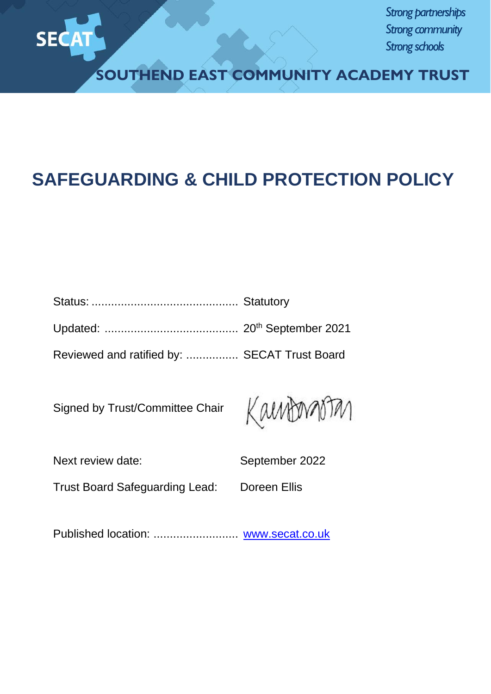

*Strong partnerships Strong community Strong schools*

**SOUTHEND EAST COMMUNITY ACADEMY TRUST**

# **SAFEGUARDING & CHILD PROTECTION POLICY**

| Reviewed and ratified by:  SECAT Trust Board |  |
|----------------------------------------------|--|

Signed by Trust/Committee Chair



| Next review date:                     | September 2022 |
|---------------------------------------|----------------|
| <b>Trust Board Safeguarding Lead:</b> | Doreen Ellis   |

Published location: .................................. [www.secat.co.uk](http://www.secat.co.uk/)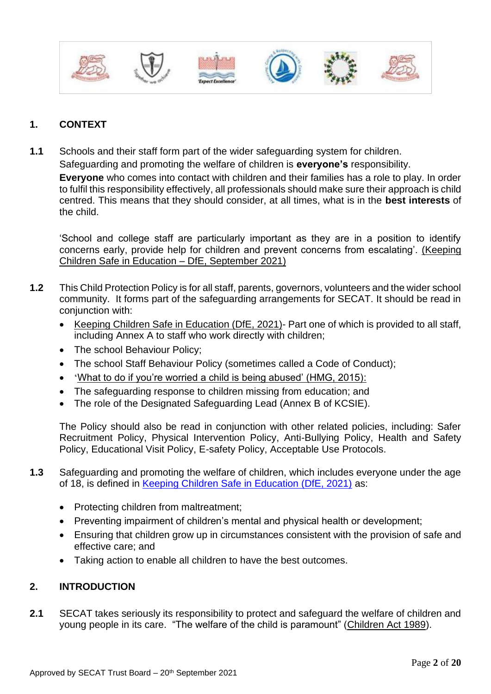

# **1. CONTEXT**

**1.1** Schools and their staff form part of the wider safeguarding system for children. Safeguarding and promoting the welfare of children is **everyone's** responsibility. **Everyone** who comes into contact with children and their families has a role to play. In order to fulfil this responsibility effectively, all professionals should make sure their approach is child centred. This means that they should consider, at all times, what is in the **best interests** of the child.

'School and college staff are particularly important as they are in a position to identify concerns early, provide help for children and prevent concerns from escalating'. [\(Keeping](https://assets.publishing.service.gov.uk/government/uploads/system/uploads/attachment_data/file/1014057/KCSIE_2021_September.pdf)  [Children Safe in Education –](https://assets.publishing.service.gov.uk/government/uploads/system/uploads/attachment_data/file/1014057/KCSIE_2021_September.pdf) DfE, September 2021)

- **1.2** This Child Protection Policy is for all staff, parents, governors, volunteers and the wider school community. It forms part of the safeguarding arrangements for SECAT. It should be read in conjunction with:
	- [Keeping Children Safe in Education \(DfE, 2021\)-](https://assets.publishing.service.gov.uk/government/uploads/system/uploads/attachment_data/file/1014057/KCSIE_2021_September.pdf) Part one of which is provided to all staff, including Annex A to staff who work directly with children;
	- The school Behaviour Policy;
	- The school Staff Behaviour Policy (sometimes called a Code of Conduct);
	- '[What to do if you're worried a child is being abused' \(HMG, 2015\):](https://www.gov.uk/government/publications/what-to-do-if-youre-worried-a-child-is-being-abused--2)
	- The safeguarding response to children missing from education; and
	- The role of the Designated Safeguarding Lead (Annex B of KCSIE).

The Policy should also be read in conjunction with other related policies, including: Safer Recruitment Policy, Physical Intervention Policy, Anti-Bullying Policy, Health and Safety Policy, Educational Visit Policy, E-safety Policy, Acceptable Use Protocols.

- **1.3** Safeguarding and promoting the welfare of children, which includes everyone under the age of 18, is defined in [Keeping Children Safe in Education \(DfE, 2021\)](https://assets.publishing.service.gov.uk/government/uploads/system/uploads/attachment_data/file/1014057/KCSIE_2021_September.pdf) as:
	- Protecting children from maltreatment;
	- Preventing impairment of children's mental and physical health or development;
	- Ensuring that children grow up in circumstances consistent with the provision of safe and effective care; and
	- Taking action to enable all children to have the best outcomes.

# **2. INTRODUCTION**

**2.1** SECAT takes seriously its responsibility to protect and safeguard the welfare of children and young people in its care. "The welfare of the child is paramount" [\(Children Act 1989\)](http://www.legislation.gov.uk/ukpga/1989/41/contents).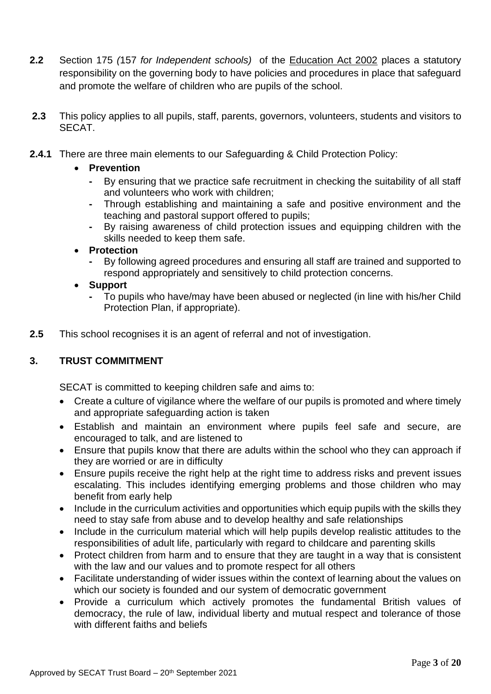- **2.2** Section 175 *(*157 *for Independent schools)* of the [Education Act 2002](http://www.legislation.gov.uk/ukpga/2002/32/contents) places a statutory responsibility on the governing body to have policies and procedures in place that safeguard and promote the welfare of children who are pupils of the school.
- **2.3** This policy applies to all pupils, staff, parents, governors, volunteers, students and visitors to SECAT.
- **2.4.1** There are three main elements to our Safeguarding & Child Protection Policy:

# • **Prevention**

- **-** By ensuring that we practice safe recruitment in checking the suitability of all staff and volunteers who work with children;
- **-** Through establishing and maintaining a safe and positive environment and the teaching and pastoral support offered to pupils;
- **-** By raising awareness of child protection issues and equipping children with the skills needed to keep them safe.
- **Protection**
	- **-** By following agreed procedures and ensuring all staff are trained and supported to respond appropriately and sensitively to child protection concerns.
- **Support**
	- **-** To pupils who have/may have been abused or neglected (in line with his/her Child Protection Plan, if appropriate).
- **2.5** This school recognises it is an agent of referral and not of investigation.

# **3. TRUST COMMITMENT**

SECAT is committed to keeping children safe and aims to:

- Create a culture of vigilance where the welfare of our pupils is promoted and where timely and appropriate safeguarding action is taken
- Establish and maintain an environment where pupils feel safe and secure, are encouraged to talk, and are listened to
- Ensure that pupils know that there are adults within the school who they can approach if they are worried or are in difficulty
- Ensure pupils receive the right help at the right time to address risks and prevent issues escalating. This includes identifying emerging problems and those children who may benefit from early help
- Include in the curriculum activities and opportunities which equip pupils with the skills they need to stay safe from abuse and to develop healthy and safe relationships
- Include in the curriculum material which will help pupils develop realistic attitudes to the responsibilities of adult life, particularly with regard to childcare and parenting skills
- Protect children from harm and to ensure that they are taught in a way that is consistent with the law and our values and to promote respect for all others
- Facilitate understanding of wider issues within the context of learning about the values on which our society is founded and our system of democratic government
- Provide a curriculum which actively promotes the fundamental British values of democracy, the rule of law, individual liberty and mutual respect and tolerance of those with different faiths and beliefs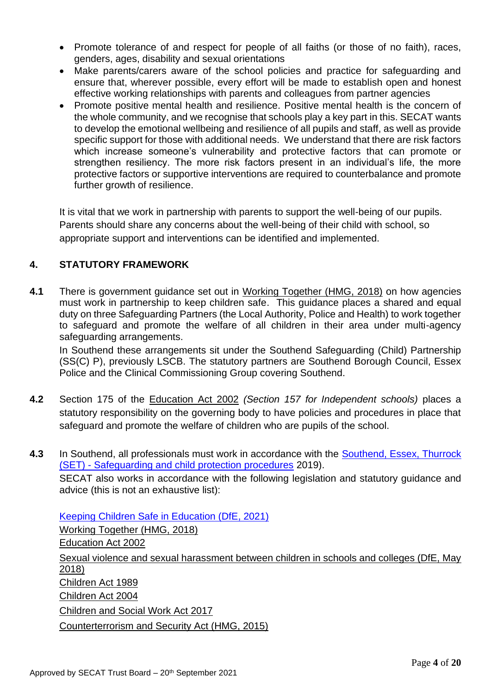- Promote tolerance of and respect for people of all faiths (or those of no faith), races, genders, ages, disability and sexual orientations
- Make parents/carers aware of the school policies and practice for safeguarding and ensure that, wherever possible, every effort will be made to establish open and honest effective working relationships with parents and colleagues from partner agencies
- Promote positive mental health and resilience. Positive mental health is the concern of the whole community, and we recognise that schools play a key part in this. SECAT wants to develop the emotional wellbeing and resilience of all pupils and staff, as well as provide specific support for those with additional needs. We understand that there are risk factors which increase someone's vulnerability and protective factors that can promote or strengthen resiliency. The more risk factors present in an individual's life, the more protective factors or supportive interventions are required to counterbalance and promote further growth of resilience.

 It is vital that we work in partnership with parents to support the well-being of our pupils. Parents should share any concerns about the well-being of their child with school, so appropriate support and interventions can be identified and implemented.

# **4. STATUTORY FRAMEWORK**

**4.1** There is government guidance set out in [Working Together \(HMG, 2018\)](https://assets.publishing.service.gov.uk/government/uploads/system/uploads/attachment_data/file/729914/Working_Together_to_Safeguard_Children-2018.pdf) on how agencies must work in partnership to keep children safe. This guidance places a shared and equal duty on three Safeguarding Partners (the Local Authority, Police and Health) to work together to safeguard and promote the welfare of all children in their area under multi-agency safeguarding arrangements.

In Southend these arrangements sit under the Southend Safeguarding (Child) Partnership (SS(C) P), previously LSCB. The statutory partners are Southend Borough Council, Essex Police and the Clinical Commissioning Group covering Southend.

- **4.2** Section 175 of the [Education Act 2002](http://www.legislation.gov.uk/ukpga/2002/32/contents) *(Section 157 for Independent schools)* places a statutory responsibility on the governing body to have policies and procedures in place that safeguard and promote the welfare of children who are pupils of the school.
- **4.3** In Southend, all professionals must work in accordance with the **Southend, Essex, Thurrock** (SET) - [Safeguarding and child protection procedures](https://www.thurrock.gov.uk/sites/default/files/assets/documents/set_procedures_201910.pdf) 2019).

SECAT also works in accordance with the following legislation and statutory guidance and advice (this is not an exhaustive list):

[Keeping Children Safe in Education \(DfE, 2021\)](https://assets.publishing.service.gov.uk/government/uploads/system/uploads/attachment_data/file/1014057/KCSIE_2021_September.pdf) [Working Together \(HMG, 2018\)](https://assets.publishing.service.gov.uk/government/uploads/system/uploads/attachment_data/file/729914/Working_Together_to_Safeguard_Children-2018.pdf) [Education Act 2002](http://www.legislation.gov.uk/ukpga/2002/32/contents) [Sexual violence and sexual harassment between children in schools and colleges \(DfE, May](https://www.gov.uk/government/publications/sexual-violence-and-sexual-harassment-between-children-in-schools-and-colleges)  [2018\)](https://www.gov.uk/government/publications/sexual-violence-and-sexual-harassment-between-children-in-schools-and-colleges) [Children Act 1989](http://www.legislation.gov.uk/ukpga/1989/41/contents) [Children Act 2004](http://www.legislation.gov.uk/ukpga/2004/31/contents) [Children and Social Work Act 2017](http://www.legislation.gov.uk/ukpga/2017/16/contents/enacted) [Counterterrorism and Security Act \(HMG, 2015\)](http://www.legislation.gov.uk/ukpga/2015/6/contents)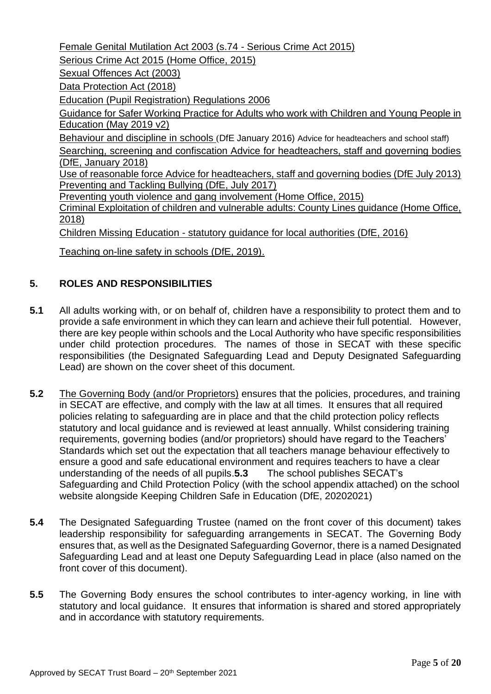[Female Genital Mutilation Act 2003 \(s.74 -](http://www.legislation.gov.uk/ukpga/2015/9/part/5/crossheading/female-genital-mutilation/enacted) Serious Crime Act 2015) Serious Crime Act 2015 (Home Office, 2015) [Sexual Offences Act \(2003\)](https://www.legislation.gov.uk/ukpga/2003/42/contents) [Data Protection Act \(2018\)](http://www.legislation.gov.uk/ukpga/2018/12/contents/enacted) [Education \(Pupil Registration\) Regulations 2006](http://www.legislation.gov.uk/uksi/2006/1751/contents/made) [Guidance for Safer Working Practice for Adults who work with Children and Young People in](https://www.saferrecruitmentconsortium.org/GSWP%20Sept%202019.pdf)  [Education \(May 2019 v2\)](https://www.saferrecruitmentconsortium.org/GSWP%20Sept%202019.pdf) [Behaviour and discipline in schools](https://www.gov.uk/government/publications/behaviour-and-discipline-in-schools) (DfE January 2016) Advice for headteachers and school staff) [Searching, screening and confiscation Advice for headteachers, staff and governing bodies](https://www.gov.uk/government/publications/searching-screening-and-confiscation) [\(DfE, January 2018\)](https://www.gov.uk/government/publications/searching-screening-and-confiscation)  [Use of reasonable force Advice for headteachers, staff and governing bodies \(DfE July 2013\)](https://www.gov.uk/government/publications/use-of-reasonable-force-in-schools) [Preventing and Tackling Bullying \(DfE, July 2017\)](https://www.gov.uk/government/publications/preventing-and-tackling-bullying) Preventing youth violence and gang involvement (Home Office, 2015) Criminal Exploitation of children and vulnerable adults: County Lines guidance (Home Office, 2018) Children Missing Education - [statutory guidance for local authorities \(DfE, 2016\)](https://assets.publishing.service.gov.uk/government/uploads/system/uploads/attachment_data/file/550416/Children_Missing_Education_-_statutory_guidance.pdf)

[Teaching on-line safety in schools \(DfE, 2019\).](https://assets.publishing.service.gov.uk/government/uploads/system/uploads/attachment_data/file/811796/Teaching_online_safety_in_school.pdf)

# **5. ROLES AND RESPONSIBILITIES**

- **5.1** All adults working with, or on behalf of, children have a responsibility to protect them and to provide a safe environment in which they can learn and achieve their full potential. However, there are key people within schools and the Local Authority who have specific responsibilities under child protection procedures. The names of those in SECAT with these specific responsibilities (the Designated Safeguarding Lead and Deputy Designated Safeguarding Lead) are shown on the cover sheet of this document.
- **5.2** The Governing Body (and/or Proprietors) ensures that the policies, procedures, and training in SECAT are effective, and comply with the law at all times. It ensures that all required policies relating to safeguarding are in place and that the child protection policy reflects statutory and local guidance and is reviewed at least annually. Whilst considering training requirements, governing bodies (and/or proprietors) should have regard to the Teachers' Standards which set out the expectation that all teachers manage behaviour effectively to ensure a good and safe educational environment and requires teachers to have a clear understanding of the needs of all pupils.**5.3** The school publishes SECAT's Safeguarding and Child Protection Policy (with the school appendix attached) on the school website alongside Keeping Children Safe in Education (DfE, 20202021)
- **5.4** The Designated Safeguarding Trustee (named on the front cover of this document) takes leadership responsibility for safeguarding arrangements in SECAT. The Governing Body ensures that, as well as the Designated Safeguarding Governor, there is a named Designated Safeguarding Lead and at least one Deputy Safeguarding Lead in place (also named on the front cover of this document).
- **5.5** The Governing Body ensures the school contributes to inter-agency working, in line with statutory and local guidance. It ensures that information is shared and stored appropriately and in accordance with statutory requirements.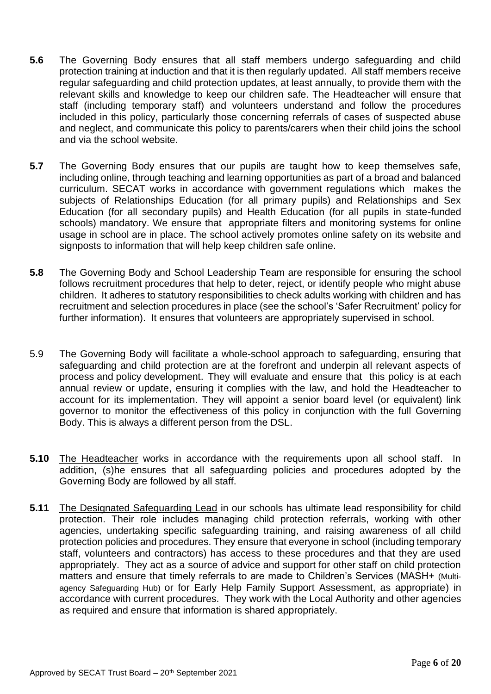- **5.6** The Governing Body ensures that all staff members undergo safeguarding and child protection training at induction and that it is then regularly updated. All staff members receive regular safeguarding and child protection updates, at least annually, to provide them with the relevant skills and knowledge to keep our children safe. The Headteacher will ensure that staff (including temporary staff) and volunteers understand and follow the procedures included in this policy, particularly those concerning referrals of cases of suspected abuse and neglect, and communicate this policy to parents/carers when their child joins the school and via the school website.
- **5.7** The Governing Body ensures that our pupils are taught how to keep themselves safe, including online, through teaching and learning opportunities as part of a broad and balanced curriculum. SECAT works in accordance with government regulations which makes the subjects of Relationships Education (for all primary pupils) and Relationships and Sex Education (for all secondary pupils) and Health Education (for all pupils in state-funded schools) mandatory. We ensure that appropriate filters and monitoring systems for online usage in school are in place. The school actively promotes online safety on its website and signposts to information that will help keep children safe online.
- **5.8** The Governing Body and School Leadership Team are responsible for ensuring the school follows recruitment procedures that help to deter, reject, or identify people who might abuse children. It adheres to statutory responsibilities to check adults working with children and has recruitment and selection procedures in place (see the school's 'Safer Recruitment' policy for further information). It ensures that volunteers are appropriately supervised in school.
- 5.9 The Governing Body will facilitate a whole-school approach to safeguarding, ensuring that safeguarding and child protection are at the forefront and underpin all relevant aspects of process and policy development. They will evaluate and ensure that this policy is at each annual review or update, ensuring it complies with the law, and hold the Headteacher to account for its implementation. They will appoint a senior board level (or equivalent) link governor to monitor the effectiveness of this policy in conjunction with the full Governing Body. This is always a different person from the DSL.
- **5.10** The Headteacher works in accordance with the requirements upon all school staff. In addition, (s)he ensures that all safeguarding policies and procedures adopted by the Governing Body are followed by all staff.
- **5.11** The Designated Safeguarding Lead in our schools has ultimate lead responsibility for child protection. Their role includes managing child protection referrals, working with other agencies, undertaking specific safeguarding training, and raising awareness of all child protection policies and procedures. They ensure that everyone in school (including temporary staff, volunteers and contractors) has access to these procedures and that they are used appropriately. They act as a source of advice and support for other staff on child protection matters and ensure that timely referrals to are made to Children's Services (MASH+ (Multiagency Safeguarding Hub) or for Early Help Family Support Assessment, as appropriate) in accordance with current procedures. They work with the Local Authority and other agencies as required and ensure that information is shared appropriately.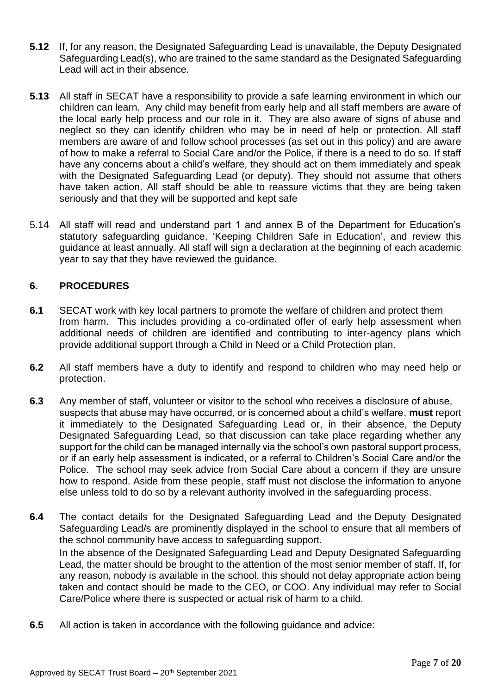- **5.12** If, for any reason, the Designated Safeguarding Lead is unavailable, the Deputy Designated Safeguarding Lead(s), who are trained to the same standard as the Designated Safeguarding Lead will act in their absence*.*
- **5.13** All staff in SECAT have a responsibility to provide a safe learning environment in which our children can learn. Any child may benefit from early help and all staff members are aware of the local early help process and our role in it. They are also aware of signs of abuse and neglect so they can identify children who may be in need of help or protection. All staff members are aware of and follow school processes (as set out in this policy) and are aware of how to make a referral to Social Care and/or the Police, if there is a need to do so. If staff have any concerns about a child's welfare, they should act on them immediately and speak with the Designated Safeguarding Lead (or deputy). They should not assume that others have taken action. All staff should be able to reassure victims that they are being taken seriously and that they will be supported and kept safe
- 5.14 All staff will read and understand part 1 and annex B of the Department for Education's statutory safeguarding guidance, 'Keeping Children Safe in Education', and review this guidance at least annually. All staff will sign a declaration at the beginning of each academic year to say that they have reviewed the guidance.

# **6. PROCEDURES**

- **6.1** SECAT work with key local partners to promote the welfare of children and protect them from harm. This includes providing a co-ordinated offer of early help assessment when additional needs of children are identified and contributing to inter-agency plans which provide additional support through a Child in Need or a Child Protection plan.
- **6.2** All staff members have a duty to identify and respond to children who may need help or protection.
- **6.3** Any member of staff, volunteer or visitor to the school who receives a disclosure of abuse, suspects that abuse may have occurred, or is concerned about a child's welfare, **must** report it immediately to the Designated Safeguarding Lead or, in their absence, the Deputy Designated Safeguarding Lead, so that discussion can take place regarding whether any support for the child can be managed internally via the school's own pastoral support process, or if an early help assessment is indicated, or a referral to Children's Social Care and/or the Police. The school may seek advice from Social Care about a concern if they are unsure how to respond. Aside from these people, staff must not disclose the information to anyone else unless told to do so by a relevant authority involved in the safeguarding process.
- **6.4** The contact details for the Designated Safeguarding Lead and the Deputy Designated Safeguarding Lead/s are prominently displayed in the school to ensure that all members of the school community have access to safeguarding support. In the absence of the Designated Safeguarding Lead and Deputy Designated Safeguarding Lead, the matter should be brought to the attention of the most senior member of staff. If, for any reason, nobody is available in the school, this should not delay appropriate action being taken and contact should be made to the CEO, or COO. Any individual may refer to Social Care/Police where there is suspected or actual risk of harm to a child.
- **6.5** All action is taken in accordance with the following guidance and advice: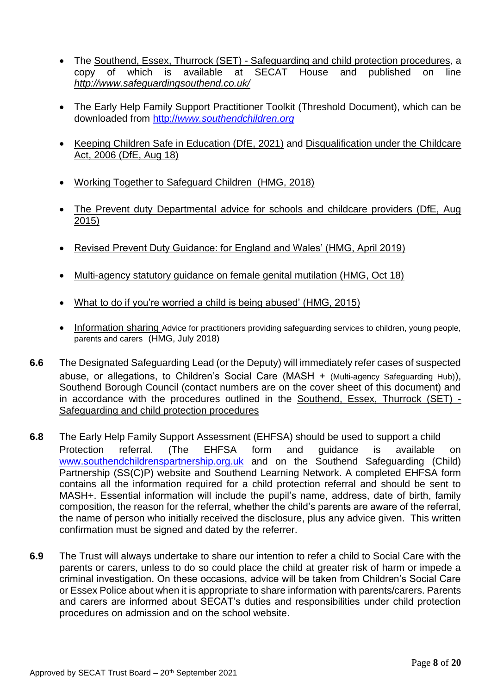- The Southend, Essex, Thurrock (SET) [Safeguarding and child protection procedures,](https://www.thurrock.gov.uk/sites/default/files/assets/documents/set_procedures_201910.pdf) a copy of which is available at SECAT House and published on line *<http://www.safeguardingsouthend.co.uk/>*
- The Early Help Family Support Practitioner Toolkit (Threshold Document), which can be downloaded from http://*[www.southendchildren.org](http://www.southendchildren.org/)*
- [Keeping Children Safe in Education \(DfE, 2021\)](https://assets.publishing.service.gov.uk/government/uploads/system/uploads/attachment_data/file/1014057/KCSIE_2021_September.pdf) and [Disqualification under the Childcare](https://www.gov.uk/government/publications/disqualification-under-the-childcare-act-2006)  [Act, 2006 \(DfE, Aug 18\)](https://www.gov.uk/government/publications/disqualification-under-the-childcare-act-2006)
- [Working Together to Safeguard Children \(HMG, 2018\)](https://www.gov.uk/government/publications/working-together-to-safeguard-children--2)
- [The Prevent duty Departmental advice for schools and childcare providers \(DfE, Aug](https://www.gov.uk/government/publications/protecting-children-from-radicalisation-the-prevent-duty)  [2015\)](https://www.gov.uk/government/publications/protecting-children-from-radicalisation-the-prevent-duty)
- [Revised Prevent Duty Guidance: for England and Wales' \(HMG, April 2019\)](https://www.gov.uk/government/publications/prevent-duty-guidance)
- [Multi-agency statutory guidance on female genital mutilation \(HMG, Oct 18\)](https://www.gov.uk/government/publications/multi-agency-statutory-guidance-on-female-genital-mutilation)
- [What to do if you're worried a child is being abused' \(HMG, 2015\)](https://assets.publishing.service.gov.uk/government/uploads/system/uploads/attachment_data/file/419604/What_to_do_if_you_re_worried_a_child_is_being_abused.pdf)
- [Information sharing](https://www.gov.uk/government/publications/safeguarding-practitioners-information-sharing-advice) Advice for practitioners providing safeguarding services to children, young people, parents and carers (HMG, July 2018)
- **6.6** The Designated Safeguarding Lead (or the Deputy) will immediately refer cases of suspected abuse, or allegations, to Children's Social Care (MASH + (Multi-agency Safeguarding Hub)), Southend Borough Council (contact numbers are on the cover sheet of this document) and in accordance with the procedures outlined in the [Southend, Essex, Thurrock \(SET\) -](https://www.thurrock.gov.uk/sites/default/files/assets/documents/set_procedures_201910.pdf) [Safeguarding and child protection procedures](https://www.thurrock.gov.uk/sites/default/files/assets/documents/set_procedures_201910.pdf)
- **6.8** The Early Help Family Support Assessment (EHFSA) should be used to support a child Protection referral. (The EHFSA form and guidance is available on [www.southendchildrenspartnership.org.uk](http://www.southendchildrenspartnership.org.uk/) and on the Southend Safeguarding (Child) Partnership (SS(C)P) website and Southend Learning Network. A completed EHFSA form contains all the information required for a child protection referral and should be sent to MASH+. Essential information will include the pupil's name, address, date of birth, family composition, the reason for the referral, whether the child's parents are aware of the referral, the name of person who initially received the disclosure, plus any advice given. This written confirmation must be signed and dated by the referrer.
- **6.9** The Trust will always undertake to share our intention to refer a child to Social Care with the parents or carers, unless to do so could place the child at greater risk of harm or impede a criminal investigation. On these occasions, advice will be taken from Children's Social Care or Essex Police about when it is appropriate to share information with parents/carers. Parents and carers are informed about SECAT's duties and responsibilities under child protection procedures on admission and on the school website.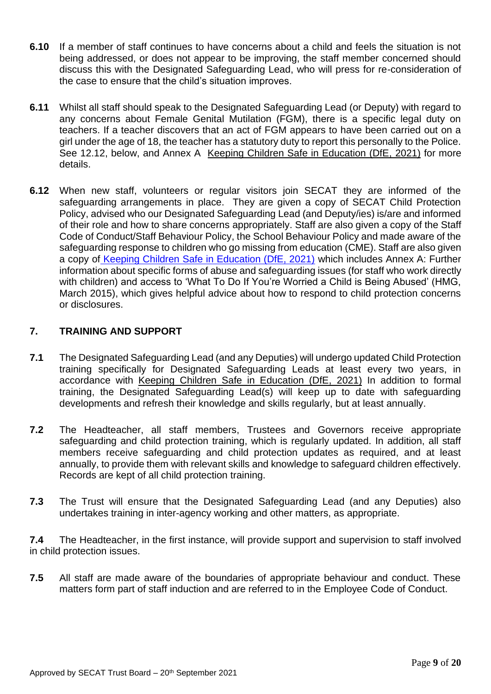- **6.10** If a member of staff continues to have concerns about a child and feels the situation is not being addressed, or does not appear to be improving, the staff member concerned should discuss this with the Designated Safeguarding Lead, who will press for re-consideration of the case to ensure that the child's situation improves.
- **6.11** Whilst all staff should speak to the Designated Safeguarding Lead (or Deputy) with regard to any concerns about Female Genital Mutilation (FGM), there is a specific legal duty on teachers. If a teacher discovers that an act of FGM appears to have been carried out on a girl under the age of 18, the teacher has a statutory duty to report this personally to the Police. See 12.12, below, and Annex A [Keeping Children Safe in Education \(DfE, 2021\)](https://assets.publishing.service.gov.uk/government/uploads/system/uploads/attachment_data/file/1014057/KCSIE_2021_September.pdf) for more details.
- **6.12** When new staff, volunteers or regular visitors join SECAT they are informed of the safeguarding arrangements in place. They are given a copy of SECAT Child Protection Policy, advised who our Designated Safeguarding Lead (and Deputy/ies) is/are and informed of their role and how to share concerns appropriately. Staff are also given a copy of the Staff Code of Conduct/Staff Behaviour Policy, the School Behaviour Policy and made aware of the safeguarding response to children who go missing from education (CME). Staff are also given a copy of [Keeping Children Safe in Education \(DfE, 2021\)](https://assets.publishing.service.gov.uk/government/uploads/system/uploads/attachment_data/file/1014057/KCSIE_2021_September.pdf) which includes Annex A: Further information about specific forms of abuse and safeguarding issues (for staff who work directly with children) and access to 'What To Do If You're Worried a Child is Being Abused' (HMG, March 2015), which gives helpful advice about how to respond to child protection concerns or disclosures.

# **7. TRAINING AND SUPPORT**

- **7.1** The Designated Safeguarding Lead (and any Deputies) will undergo updated Child Protection training specifically for Designated Safeguarding Leads at least every two years, in accordance with [Keeping Children Safe in Education \(DfE, 2021\)](https://assets.publishing.service.gov.uk/government/uploads/system/uploads/attachment_data/file/1014057/KCSIE_2021_September.pdf) In addition to formal training, the Designated Safeguarding Lead(s) will keep up to date with safeguarding developments and refresh their knowledge and skills regularly, but at least annually.
- **7.2** The Headteacher, all staff members, Trustees and Governors receive appropriate safeguarding and child protection training, which is regularly updated. In addition, all staff members receive safeguarding and child protection updates as required, and at least annually, to provide them with relevant skills and knowledge to safeguard children effectively. Records are kept of all child protection training.
- **7.3** The Trust will ensure that the Designated Safeguarding Lead (and any Deputies) also undertakes training in inter-agency working and other matters, as appropriate.

**7.4** The Headteacher, in the first instance, will provide support and supervision to staff involved in child protection issues.

**7.5** All staff are made aware of the boundaries of appropriate behaviour and conduct. These matters form part of staff induction and are referred to in the Employee Code of Conduct.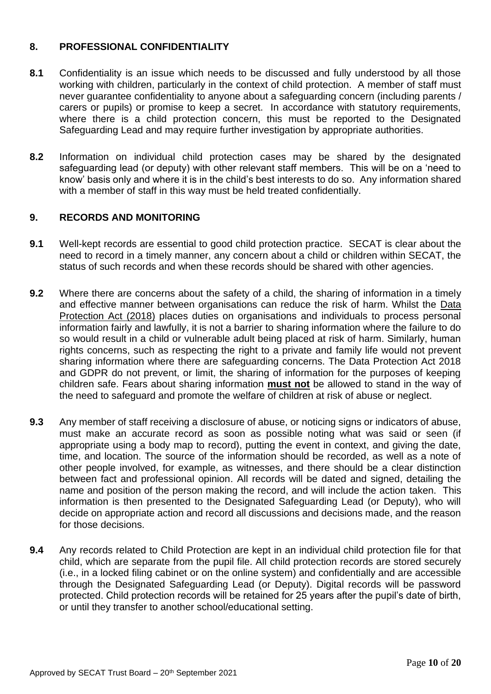# **8. PROFESSIONAL CONFIDENTIALITY**

- **8.1** Confidentiality is an issue which needs to be discussed and fully understood by all those working with children, particularly in the context of child protection. A member of staff must never guarantee confidentiality to anyone about a safeguarding concern (including parents / carers or pupils) or promise to keep a secret. In accordance with statutory requirements, where there is a child protection concern, this must be reported to the Designated Safeguarding Lead and may require further investigation by appropriate authorities.
- **8.2** Information on individual child protection cases may be shared by the designated safeguarding lead (or deputy) with other relevant staff members. This will be on a 'need to know' basis only and where it is in the child's best interests to do so. Any information shared with a member of staff in this way must be held treated confidentially.

# **9. RECORDS AND MONITORING**

- **9.1** Well-kept records are essential to good child protection practice. SECAT is clear about the need to record in a timely manner, any concern about a child or children within SECAT, the status of such records and when these records should be shared with other agencies.
- **9.2** Where there are concerns about the safety of a child, the sharing of information in a timely and effective manner between organisations can reduce the risk of harm. Whilst the [Data](http://www.legislation.gov.uk/ukpga/2018/12/contents/enacted)  [Protection Act \(2018\)](http://www.legislation.gov.uk/ukpga/2018/12/contents/enacted) places duties on organisations and individuals to process personal information fairly and lawfully, it is not a barrier to sharing information where the failure to do so would result in a child or vulnerable adult being placed at risk of harm. Similarly, human rights concerns, such as respecting the right to a private and family life would not prevent sharing information where there are safeguarding concerns. The Data Protection Act 2018 and GDPR do not prevent, or limit, the sharing of information for the purposes of keeping children safe. Fears about sharing information **must not** be allowed to stand in the way of the need to safeguard and promote the welfare of children at risk of abuse or neglect.
- **9.3** Any member of staff receiving a disclosure of abuse, or noticing signs or indicators of abuse, must make an accurate record as soon as possible noting what was said or seen (if appropriate using a body map to record), putting the event in context, and giving the date, time, and location. The source of the information should be recorded, as well as a note of other people involved, for example, as witnesses, and there should be a clear distinction between fact and professional opinion. All records will be dated and signed, detailing the name and position of the person making the record, and will include the action taken. This information is then presented to the Designated Safeguarding Lead (or Deputy), who will decide on appropriate action and record all discussions and decisions made, and the reason for those decisions.
- **9.4** Any records related to Child Protection are kept in an individual child protection file for that child, which are separate from the pupil file. All child protection records are stored securely (i.e., in a locked filing cabinet or on the online system) and confidentially and are accessible through the Designated Safeguarding Lead (or Deputy). Digital records will be password protected. Child protection records will be retained for 25 years after the pupil's date of birth, or until they transfer to another school/educational setting.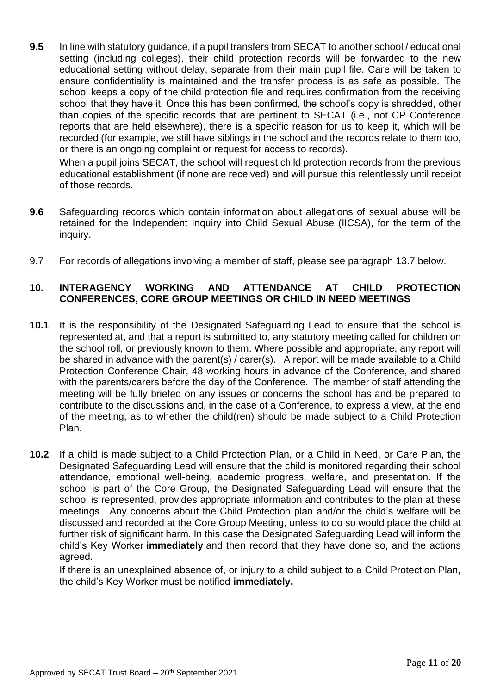**9.5** In line with statutory guidance, if a pupil transfers from SECAT to another school / educational setting (including colleges), their child protection records will be forwarded to the new educational setting without delay, separate from their main pupil file. Care will be taken to ensure confidentiality is maintained and the transfer process is as safe as possible. The school keeps a copy of the child protection file and requires confirmation from the receiving school that they have it. Once this has been confirmed, the school's copy is shredded, other than copies of the specific records that are pertinent to SECAT (i.e., not CP Conference reports that are held elsewhere), there is a specific reason for us to keep it, which will be recorded (for example, we still have siblings in the school and the records relate to them too, or there is an ongoing complaint or request for access to records).

When a pupil joins SECAT, the school will request child protection records from the previous educational establishment (if none are received) and will pursue this relentlessly until receipt of those records.

- **9.6** Safeguarding records which contain information about allegations of sexual abuse will be retained for the Independent Inquiry into Child Sexual Abuse (IICSA), for the term of the inquiry.
- 9.7 For records of allegations involving a member of staff, please see paragraph 13.7 below.

# **10. INTERAGENCY WORKING AND ATTENDANCE AT CHILD PROTECTION CONFERENCES, CORE GROUP MEETINGS OR CHILD IN NEED MEETINGS**

- **10.1** It is the responsibility of the Designated Safeguarding Lead to ensure that the school is represented at, and that a report is submitted to, any statutory meeting called for children on the school roll, or previously known to them. Where possible and appropriate, any report will be shared in advance with the parent(s) / carer(s). A report will be made available to a Child Protection Conference Chair, 48 working hours in advance of the Conference, and shared with the parents/carers before the day of the Conference. The member of staff attending the meeting will be fully briefed on any issues or concerns the school has and be prepared to contribute to the discussions and, in the case of a Conference, to express a view, at the end of the meeting, as to whether the child(ren) should be made subject to a Child Protection Plan.
- **10.2** If a child is made subject to a Child Protection Plan, or a Child in Need, or Care Plan, the Designated Safeguarding Lead will ensure that the child is monitored regarding their school attendance, emotional well-being, academic progress, welfare, and presentation. If the school is part of the Core Group, the Designated Safeguarding Lead will ensure that the school is represented, provides appropriate information and contributes to the plan at these meetings. Any concerns about the Child Protection plan and/or the child's welfare will be discussed and recorded at the Core Group Meeting, unless to do so would place the child at further risk of significant harm. In this case the Designated Safeguarding Lead will inform the child's Key Worker **immediately** and then record that they have done so, and the actions agreed.

If there is an unexplained absence of, or injury to a child subject to a Child Protection Plan, the child's Key Worker must be notified **immediately.**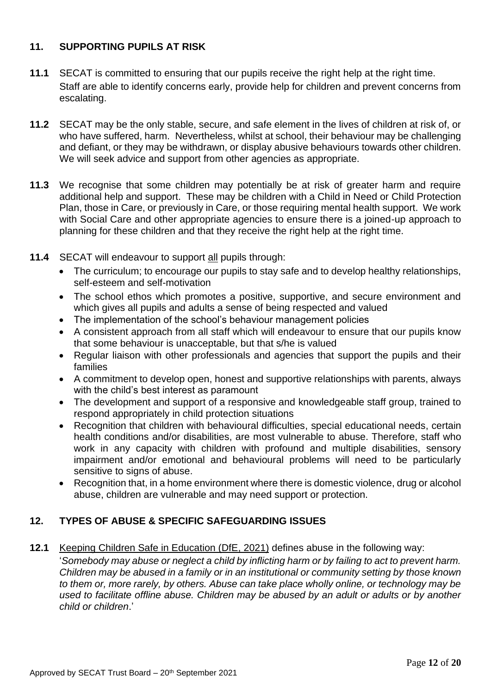# **11. SUPPORTING PUPILS AT RISK**

- **11.1** SECAT is committed to ensuring that our pupils receive the right help at the right time. Staff are able to identify concerns early, provide help for children and prevent concerns from escalating.
- **11.2** SECAT may be the only stable, secure, and safe element in the lives of children at risk of, or who have suffered, harm. Nevertheless, whilst at school, their behaviour may be challenging and defiant, or they may be withdrawn, or display abusive behaviours towards other children. We will seek advice and support from other agencies as appropriate.
- **11.3** We recognise that some children may potentially be at risk of greater harm and require additional help and support. These may be children with a Child in Need or Child Protection Plan, those in Care, or previously in Care, or those requiring mental health support. We work with Social Care and other appropriate agencies to ensure there is a joined-up approach to planning for these children and that they receive the right help at the right time.
- **11.4** SECAT will endeavour to support all pupils through:
	- The curriculum; to encourage our pupils to stay safe and to develop healthy relationships, self-esteem and self-motivation
	- The school ethos which promotes a positive, supportive, and secure environment and which gives all pupils and adults a sense of being respected and valued
	- The implementation of the school's behaviour management policies
	- A consistent approach from all staff which will endeavour to ensure that our pupils know that some behaviour is unacceptable, but that s/he is valued
	- Regular liaison with other professionals and agencies that support the pupils and their families
	- A commitment to develop open, honest and supportive relationships with parents, always with the child's best interest as paramount
	- The development and support of a responsive and knowledgeable staff group, trained to respond appropriately in child protection situations
	- Recognition that children with behavioural difficulties, special educational needs, certain health conditions and/or disabilities, are most vulnerable to abuse. Therefore, staff who work in any capacity with children with profound and multiple disabilities, sensory impairment and/or emotional and behavioural problems will need to be particularly sensitive to signs of abuse.
	- Recognition that, in a home environment where there is domestic violence, drug or alcohol abuse, children are vulnerable and may need support or protection.

# **12. TYPES OF ABUSE & SPECIFIC SAFEGUARDING ISSUES**

**12.1** [Keeping Children Safe in Education \(DfE, 2021\)](https://www.gov.uk/government/publications/keeping-children-safe-in-education--2) defines abuse in the following way: '*Somebody may abuse or neglect a child by inflicting harm or by failing to act to prevent harm. Children may be abused in a family or in an institutional or community setting by those known to them or, more rarely, by others. Abuse can take place wholly online, or technology may be used to facilitate offline abuse. Children may be abused by an adult or adults or by another child or children*.'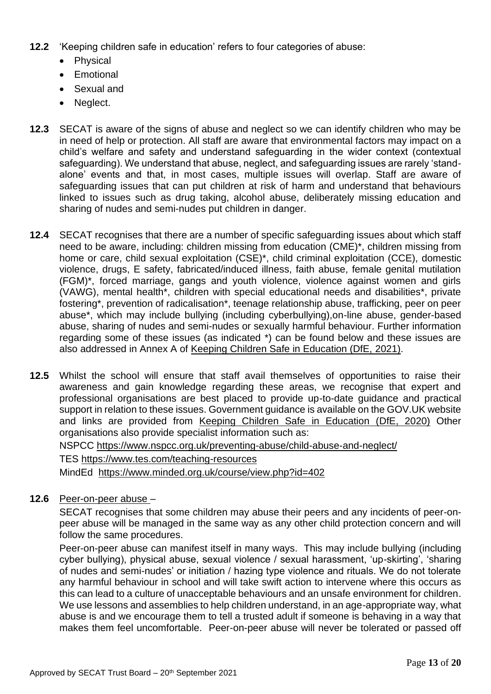- **12.2** 'Keeping children safe in education' refers to four categories of abuse:
	- Physical
	- Emotional
	- Sexual and
	- Neglect.
- **12.3** SECAT is aware of the signs of abuse and neglect so we can identify children who may be in need of help or protection. All staff are aware that environmental factors may impact on a child's welfare and safety and understand safeguarding in the wider context (contextual safeguarding). We understand that abuse, neglect, and safeguarding issues are rarely 'standalone' events and that, in most cases, multiple issues will overlap. Staff are aware of safeguarding issues that can put children at risk of harm and understand that behaviours linked to issues such as drug taking, alcohol abuse, deliberately missing education and sharing of nudes and semi-nudes put children in danger.
- **12.4** SECAT recognises that there are a number of specific safeguarding issues about which staff need to be aware, including: children missing from education (CME)\*, children missing from home or care, child sexual exploitation (CSE)\*, child criminal exploitation (CCE), domestic violence, drugs, E safety, fabricated/induced illness, faith abuse, female genital mutilation (FGM)\*, forced marriage, gangs and youth violence, violence against women and girls (VAWG), mental health\*, children with special educational needs and disabilities\*, private fostering\*, prevention of radicalisation\*, teenage relationship abuse, trafficking, peer on peer abuse\*, which may include bullying (including cyberbullying),on-line abuse, gender-based abuse, sharing of nudes and semi-nudes or sexually harmful behaviour. Further information regarding some of these issues (as indicated \*) can be found below and these issues are also addressed in Annex A of [Keeping Children Safe in Education \(DfE, 2021\).](https://www.gov.uk/government/publications/keeping-children-safe-in-education--2)
- **12.5** Whilst the school will ensure that staff avail themselves of opportunities to raise their awareness and gain knowledge regarding these areas, we recognise that expert and professional organisations are best placed to provide up-to-date guidance and practical support in relation to these issues. Government guidance is available on the GOV.UK website and links are provided from [Keeping Children Safe in Education \(DfE, 202](https://www.gov.uk/government/publications/keeping-children-safe-in-education--2)0) Other organisations also provide specialist information such as:

NSPCC<https://www.nspcc.org.uk/preventing-abuse/child-abuse-and-neglect/>

TES<https://www.tes.com/teaching-resources>

MindEd <https://www.minded.org.uk/course/view.php?id=402>

**12.6** Peer-on-peer abuse –

SECAT recognises that some children may abuse their peers and any incidents of peer-onpeer abuse will be managed in the same way as any other child protection concern and will follow the same procedures.

Peer-on-peer abuse can manifest itself in many ways. This may include bullying (including cyber bullying), physical abuse, sexual violence / sexual harassment, 'up-skirting', 'sharing of nudes and semi-nudes' or initiation / hazing type violence and rituals. We do not tolerate any harmful behaviour in school and will take swift action to intervene where this occurs as this can lead to a culture of unacceptable behaviours and an unsafe environment for children. We use lessons and assemblies to help children understand, in an age-appropriate way, what abuse is and we encourage them to tell a trusted adult if someone is behaving in a way that makes them feel uncomfortable. Peer-on-peer abuse will never be tolerated or passed off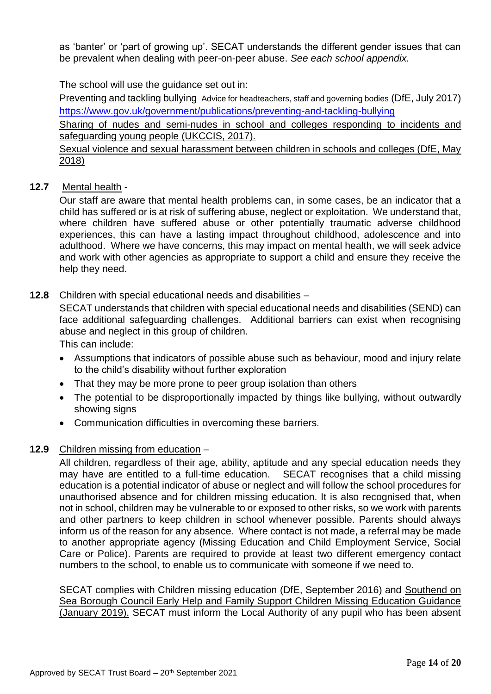as 'banter' or 'part of growing up'. SECAT understands the different gender issues that can be prevalent when dealing with peer-on-peer abuse. *See each school appendix.*

The school will use the guidance set out in:

[Preventing and tackling bullying](https://www.gov.uk/government/publications/preventing-and-tackling-bullying) Advice for headteachers, staff and governing bodies (DfE, July 2017) <https://www.gov.uk/government/publications/preventing-and-tackling-bullying>

Sharing of nudes and semi-nudes [in school and colleges responding to incidents and](https://www.gov.uk/government/uploads/system/uploads/attachment_data/file/609874/6_2939_SP_NCA_Sexting_In_Schools_FINAL_Update_Jan17.pdf)  [safeguarding young people \(UKCCIS, 2017\).](https://www.gov.uk/government/uploads/system/uploads/attachment_data/file/609874/6_2939_SP_NCA_Sexting_In_Schools_FINAL_Update_Jan17.pdf) 

Sexual [violence and sexual harassment between children in schools and colleges \(DfE, May](https://www.gov.uk/government/publications/sexual-violence-and-sexual-harassment-between-children-in-schools-and-colleges)  [2018\)](https://www.gov.uk/government/publications/sexual-violence-and-sexual-harassment-between-children-in-schools-and-colleges)

# **12.7** Mental health -

Our staff are aware that mental health problems can, in some cases, be an indicator that a child has suffered or is at risk of suffering abuse, neglect or exploitation. We understand that, where children have suffered abuse or other potentially traumatic adverse childhood experiences, this can have a lasting impact throughout childhood, adolescence and into adulthood. Where we have concerns, this may impact on mental health, we will seek advice and work with other agencies as appropriate to support a child and ensure they receive the help they need.

# **12.8** Children with special educational needs and disabilities –

SECAT understands that children with special educational needs and disabilities (SEND) can face additional safeguarding challenges. Additional barriers can exist when recognising abuse and neglect in this group of children.

This can include:

- Assumptions that indicators of possible abuse such as behaviour, mood and injury relate to the child's disability without further exploration
- That they may be more prone to peer group isolation than others
- The potential to be disproportionally impacted by things like bullying, without outwardly showing signs
- Communication difficulties in overcoming these barriers.

# **12.9** Children missing from education –

All children, regardless of their age, ability, aptitude and any special education needs they may have are entitled to a full-time education. SECAT recognises that a child missing education is a potential indicator of abuse or neglect and will follow the school procedures for unauthorised absence and for children missing education. It is also recognised that, when not in school, children may be vulnerable to or exposed to other risks, so we work with parents and other partners to keep children in school whenever possible. Parents should always inform us of the reason for any absence. Where contact is not made, a referral may be made to another appropriate agency (Missing Education and Child Employment Service, Social Care or Police). Parents are required to provide at least two different emergency contact numbers to the school, to enable us to communicate with someone if we need to.

SECAT complies with Children missing education (DfE, September 2016) and [Southend on](http://www.southendlearningnetwork.co.uk/Article/62595)  [Sea Borough Council Early Help and Family Support Children Missing Education Guidance](http://www.southendlearningnetwork.co.uk/Article/62595)  [\(January 2019\).](http://www.southendlearningnetwork.co.uk/Article/62595) SECAT must inform the Local Authority of any pupil who has been absent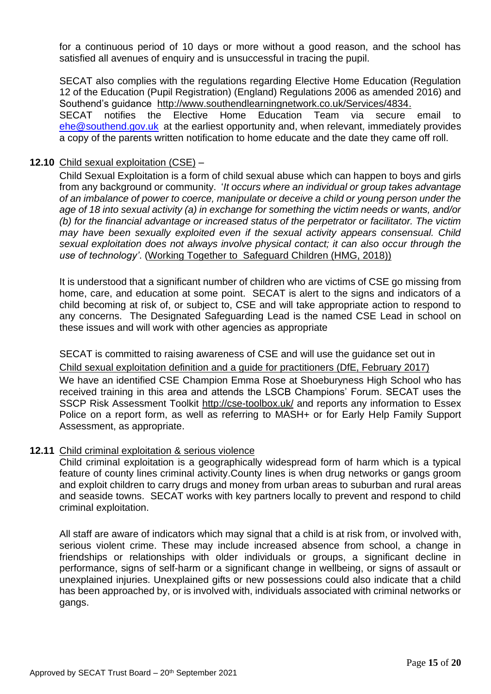for a continuous period of 10 days or more without a good reason, and the school has satisfied all avenues of enquiry and is unsuccessful in tracing the pupil.

SECAT also complies with the regulations regarding Elective Home Education (Regulation 12 of the Education (Pupil Registration) (England) Regulations 2006 as amended 2016) and Southend's guidance [http://www.southendlearningnetwork.co.uk/Services/4834.](http://www.southendlearningnetwork.co.uk/Services/4834) SECAT notifies the Elective Home Education Team via secure email to [ehe@southend.gov.uk](mailto:ehe@southend.gov.uk) at the earliest opportunity and, when relevant, immediately provides a copy of the parents written notification to home educate and the date they came off roll.

#### **12.10** Child sexual exploitation (CSE) –

Child Sexual Exploitation is a form of child sexual abuse which can happen to boys and girls from any background or community. '*It occurs where an individual or group takes advantage of an imbalance of power to coerce, manipulate or deceive a child or young person under the age of 18 into sexual activity (a) in exchange for something the victim needs or wants, and/or (b) for the financial advantage or increased status of the perpetrator or facilitator. The victim may have been sexually exploited even if the sexual activity appears consensual. Child sexual exploitation does not always involve physical contact; it can also occur through the use of technology'*. [\(Working Together to Safeguard Children \(HMG, 2018\)\)](https://www.gov.uk/government/publications/working-together-to-safeguard-children--2) 

It is understood that a significant number of children who are victims of CSE go missing from home, care, and education at some point. SECAT is alert to the signs and indicators of a child becoming at risk of, or subject to, CSE and will take appropriate action to respond to any concerns. The Designated Safeguarding Lead is the named CSE Lead in school on these issues and will work with other agencies as appropriate

SECAT is committed to raising awareness of CSE and will use the guidance set out in [Child sexual exploitation definition and a guide for practitioners \(DfE, February 2017\)](https://www.gov.uk/government/publications/child-sexual-exploitation-definition-and-guide-for-practitioners) We have an identified CSE Champion Emma Rose at Shoeburyness High School who has received training in this area and attends the LSCB Champions' Forum. SECAT uses the SSCP Risk Assessment Toolkit<http://cse-toolbox.uk/> and reports any information to Essex Police on a report form, as well as referring to MASH+ or for Early Help Family Support Assessment, as appropriate.

#### **12.11** Child criminal exploitation & serious violence

Child criminal exploitation is a geographically widespread form of harm which is a typical feature of county lines criminal activity.County lines is when drug networks or gangs groom and exploit children to carry drugs and money from urban areas to suburban and rural areas and seaside towns. SECAT works with key partners locally to prevent and respond to child criminal exploitation.

All staff are aware of indicators which may signal that a child is at risk from, or involved with, serious violent crime. These may include increased absence from school, a change in friendships or relationships with older individuals or groups, a significant decline in performance, signs of self-harm or a significant change in wellbeing, or signs of assault or unexplained injuries. Unexplained gifts or new possessions could also indicate that a child has been approached by, or is involved with, individuals associated with criminal networks or gangs.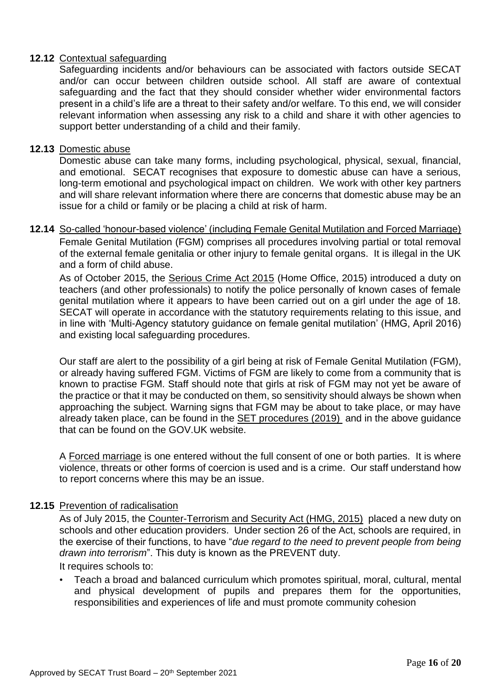# **12.12** Contextual safeguarding

Safeguarding incidents and/or behaviours can be associated with factors outside SECAT and/or can occur between children outside school. All staff are aware of contextual safeguarding and the fact that they should consider whether wider environmental factors present in a child's life are a threat to their safety and/or welfare. To this end, we will consider relevant information when assessing any risk to a child and share it with other agencies to support better understanding of a child and their family.

# **12.13** Domestic abuse

Domestic abuse can take many forms, including psychological, physical, sexual, financial, and emotional. SECAT recognises that exposure to domestic abuse can have a serious, long-term emotional and psychological impact on children. We work with other key partners and will share relevant information where there are concerns that domestic abuse may be an issue for a child or family or be placing a child at risk of harm.

# **12.14** So-called 'honour-based violence' (including Female Genital Mutilation and Forced Marriage) Female Genital Mutilation (FGM) comprises all procedures involving partial or total removal of the external female genitalia or other injury to female genital organs. It is illegal in the UK and a form of child abuse.

As of October 2015, the [Serious Crime Act 2015](https://www.gov.uk/government/collections/serious-crime-bill) (Home Office, 2015) introduced a duty on teachers (and other professionals) to notify the police personally of known cases of female genital mutilation where it appears to have been carried out on a girl under the age of 18. SECAT will operate in accordance with the statutory requirements relating to this issue, and in line with 'Multi-Agency statutory guidance on female genital mutilation' (HMG, April 2016) and existing local safeguarding procedures.

Our staff are alert to the possibility of a girl being at risk of Female Genital Mutilation (FGM), or already having suffered FGM. Victims of FGM are likely to come from a community that is known to practise FGM. Staff should note that girls at risk of FGM may not yet be aware of the practice or that it may be conducted on them, so sensitivity should always be shown when approaching the subject. Warning signs that FGM may be about to take place, or may have already taken place, can be found in the [SET procedures \(2019\)](https://www.safeguardingsouthend.co.uk/children/index_3_3377965369.pdf) and in the above guidance that can be found on the GOV.UK website.

A Forced marriage is one entered without the full consent of one or both parties. It is where violence, threats or other forms of coercion is used and is a crime. Our staff understand how to report concerns where this may be an issue.

# **12.15** Prevention of radicalisation

As of July 2015, the [Counter-Terrorism and Security Act \(HMG, 2015\)](http://www.legislation.gov.uk/ukpga/2015/6/contents) placed a new duty on schools and other education providers. Under section 26 of the Act, schools are required, in the exercise of their functions, to have "*due regard to the need to prevent people from being drawn into terrorism*". This duty is known as the PREVENT duty.

It requires schools to:

• Teach a broad and balanced curriculum which promotes spiritual, moral, cultural, mental and physical development of pupils and prepares them for the opportunities, responsibilities and experiences of life and must promote community cohesion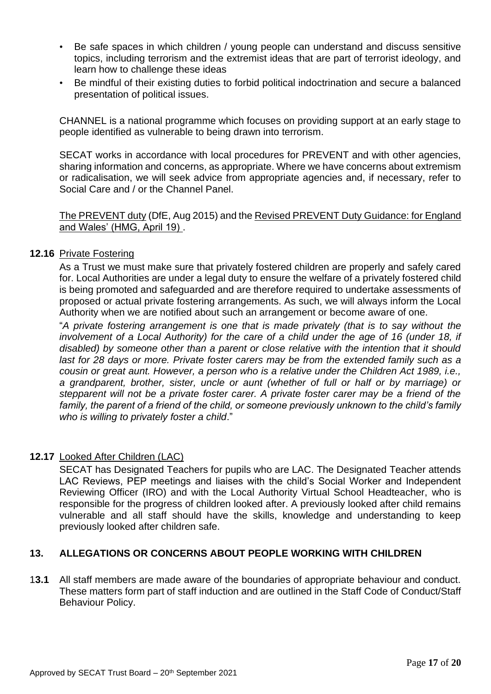- Be safe spaces in which children / young people can understand and discuss sensitive topics, including terrorism and the extremist ideas that are part of terrorist ideology, and learn how to challenge these ideas
- Be mindful of their existing duties to forbid political indoctrination and secure a balanced presentation of political issues.

CHANNEL is a national programme which focuses on providing support at an early stage to people identified as vulnerable to being drawn into terrorism.

SECAT works in accordance with local procedures for PREVENT and with other agencies, sharing information and concerns, as appropriate. Where we have concerns about extremism or radicalisation, we will seek advice from appropriate agencies and, if necessary, refer to Social Care and / or the Channel Panel.

#### [The PREVENT](https://www.gov.uk/government/publications/protecting-children-from-radicalisation-the-prevent-duty) duty (DfE, Aug 2015) and the Revised PREVENT Duty [Guidance: for England](https://www.gov.uk/government/publications/prevent-duty-guidance)  [and Wales' \(HMG, April 19\) .](https://www.gov.uk/government/publications/prevent-duty-guidance)

# **12.16** Private Fostering

As a Trust we must make sure that privately fostered children are properly and safely cared for. Local Authorities are under a legal duty to ensure the welfare of a privately fostered child is being promoted and safeguarded and are therefore required to undertake assessments of proposed or actual private fostering arrangements. As such, we will always inform the Local Authority when we are notified about such an arrangement or become aware of one.

"*A private fostering arrangement is one that is made privately (that is to say without the*  involvement of a Local Authority) for the care of a child under the age of 16 (under 18, if *disabled) by someone other than a parent or close relative with the intention that it should*  last for 28 days or more. Private foster carers may be from the extended family such as a *cousin or great aunt. However, a person who is a relative under the Children Act 1989, i.e., a grandparent, brother, sister, uncle or aunt (whether of full or half or by marriage) or stepparent will not be a private foster carer. A private foster carer may be a friend of the family, the parent of a friend of the child, or someone previously unknown to the child's family who is willing to privately foster a child*."

# **12.17** Looked After Children (LAC)

SECAT has Designated Teachers for pupils who are LAC. The Designated Teacher attends LAC Reviews, PEP meetings and liaises with the child's Social Worker and Independent Reviewing Officer (IRO) and with the Local Authority Virtual School Headteacher, who is responsible for the progress of children looked after. A previously looked after child remains vulnerable and all staff should have the skills, knowledge and understanding to keep previously looked after children safe.

# **13. ALLEGATIONS OR CONCERNS ABOUT PEOPLE WORKING WITH CHILDREN**

1**3.1** All staff members are made aware of the boundaries of appropriate behaviour and conduct. These matters form part of staff induction and are outlined in the Staff Code of Conduct/Staff Behaviour Policy.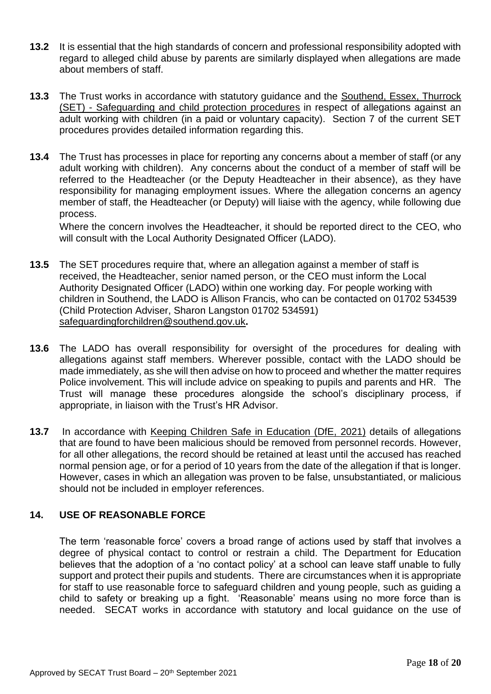- **13.2** It is essential that the high standards of concern and professional responsibility adopted with regard to alleged child abuse by parents are similarly displayed when allegations are made about members of staff.
- **13.3** The Trust works in accordance with statutory guidance and the [Southend, Essex, Thurrock](https://www.thurrock.gov.uk/sites/default/files/assets/documents/set_procedures_201910.pdf)  (SET) - [Safeguarding and child protection procedures](https://www.thurrock.gov.uk/sites/default/files/assets/documents/set_procedures_201910.pdf) in respect of allegations against an adult working with children (in a paid or voluntary capacity). Section 7 of the current SET procedures provides detailed information regarding this.
- **13.4** The Trust has processes in place for reporting any concerns about a member of staff (or any adult working with children). Any concerns about the conduct of a member of staff will be referred to the Headteacher (or the Deputy Headteacher in their absence), as they have responsibility for managing employment issues. Where the allegation concerns an agency member of staff, the Headteacher (or Deputy) will liaise with the agency, while following due process.

Where the concern involves the Headteacher, it should be reported direct to the CEO, who will consult with the Local Authority Designated Officer (LADO).

- **13.5** The SET procedures require that, where an allegation against a member of staff is received, the Headteacher, senior named person, or the CEO must inform the Local Authority Designated Officer (LADO) within one working day. For people working with children in Southend, the LADO is Allison Francis, who can be contacted on 01702 534539 (Child Protection Adviser, Sharon Langston 01702 534591) [safeguardingforchildren@southend.gov.uk](mailto:safeguardingforchildren@southend.gov.uk)**.**
- **13.6** The LADO has overall responsibility for oversight of the procedures for dealing with allegations against staff members. Wherever possible, contact with the LADO should be made immediately, as she will then advise on how to proceed and whether the matter requires Police involvement. This will include advice on speaking to pupils and parents and HR. The Trust will manage these procedures alongside the school's disciplinary process, if appropriate, in liaison with the Trust's HR Advisor.
- **13.7** In accordance with [Keeping Children Safe in Education \(DfE, 2021\)](https://assets.publishing.service.gov.uk/government/uploads/system/uploads/attachment_data/file/1014057/KCSIE_2021_September.pdf) details of allegations that are found to have been malicious should be removed from personnel records. However, for all other allegations, the record should be retained at least until the accused has reached normal pension age, or for a period of 10 years from the date of the allegation if that is longer. However, cases in which an allegation was proven to be false, unsubstantiated, or malicious should not be included in employer references.

# **14. USE OF REASONABLE FORCE**

The term 'reasonable force' covers a broad range of actions used by staff that involves a degree of physical contact to control or restrain a child. The Department for Education believes that the adoption of a 'no contact policy' at a school can leave staff unable to fully support and protect their pupils and students. There are circumstances when it is appropriate for staff to use reasonable force to safeguard children and young people, such as guiding a child to safety or breaking up a fight. 'Reasonable' means using no more force than is needed. SECAT works in accordance with statutory and local guidance on the use of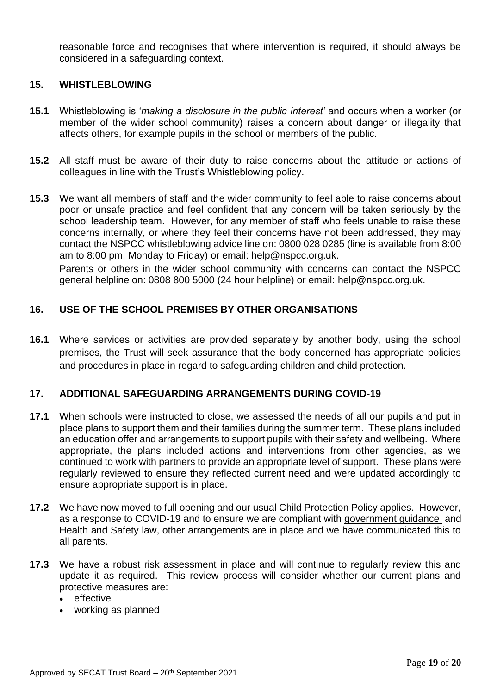reasonable force and recognises that where intervention is required, it should always be considered in a safeguarding context.

#### **15. WHISTLEBLOWING**

- **15.1** Whistleblowing is '*making a disclosure in the public interest'* and occurs when a worker (or member of the wider school community) raises a concern about danger or illegality that affects others, for example pupils in the school or members of the public.
- **15.2** All staff must be aware of their duty to raise concerns about the attitude or actions of colleagues in line with the Trust's Whistleblowing policy.
- **15.3** We want all members of staff and the wider community to feel able to raise concerns about poor or unsafe practice and feel confident that any concern will be taken seriously by the school leadership team. However, for any member of staff who feels unable to raise these concerns internally, or where they feel their concerns have not been addressed, they may contact the NSPCC whistleblowing advice line on: 0800 028 0285 (line is available from 8:00 am to 8:00 pm, Monday to Friday) or email: [help@nspcc.org.uk.](mailto:help@nspcc.org.uk)

Parents or others in the wider school community with concerns can contact the NSPCC general helpline on: 0808 800 5000 (24 hour helpline) or email: [help@nspcc.org.uk.](mailto:help@nspcc.org.uk)

# **16. USE OF THE SCHOOL PREMISES BY OTHER ORGANISATIONS**

**16.1** Where services or activities are provided separately by another body, using the school premises, the Trust will seek assurance that the body concerned has appropriate policies and procedures in place in regard to safeguarding children and child protection.

# **17. ADDITIONAL SAFEGUARDING ARRANGEMENTS DURING COVID-19**

- **17.1** When schools were instructed to close, we assessed the needs of all our pupils and put in place plans to support them and their families during the summer term. These plans included an education offer and arrangements to support pupils with their safety and wellbeing. Where appropriate, the plans included actions and interventions from other agencies, as we continued to work with partners to provide an appropriate level of support. These plans were regularly reviewed to ensure they reflected current need and were updated accordingly to ensure appropriate support is in place.
- **17.2** We have now moved to full opening and our usual Child Protection Policy applies. However, as a response to COVID-19 and to ensure we are compliant with [government guidance](https://www.gov.uk/government/publications/actions-for-schools-during-the-coronavirus-outbreak/guidance-for-full-opening-schools) and Health and Safety law, other arrangements are in place and we have communicated this to all parents.
- **17.3** We have a robust risk assessment in place and will continue to regularly review this and update it as required. This review process will consider whether our current plans and protective measures are:
	- effective
	- working as planned